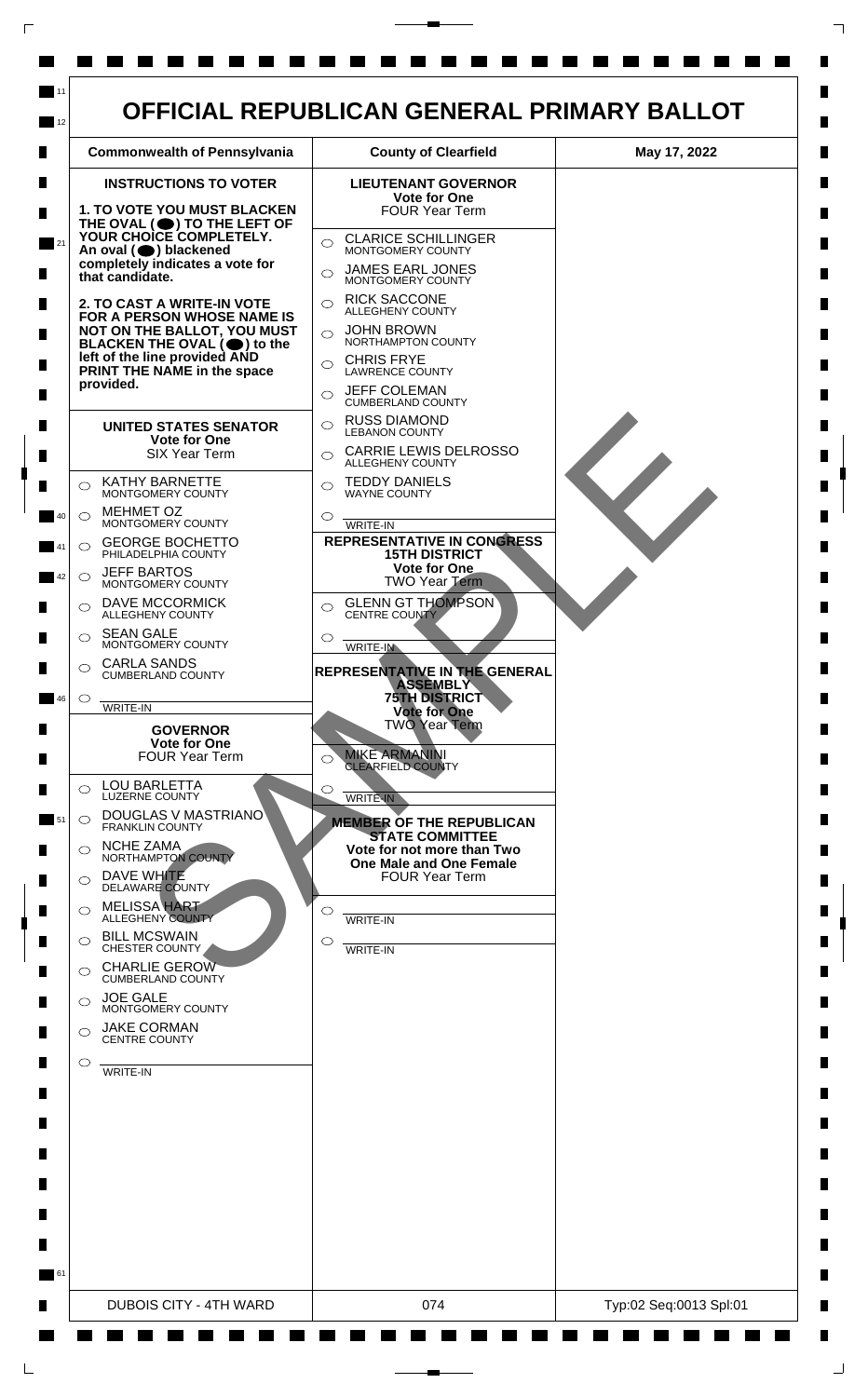

 $\mathsf{L}$ 

 $\Box$